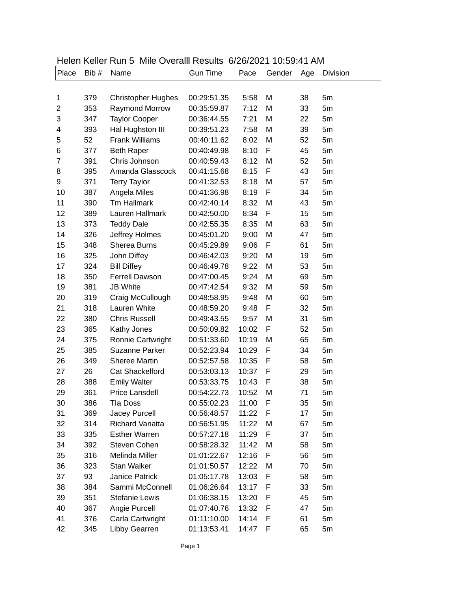| Place          | Bib# | Name                      | <b>Gun Time</b> | $V_1 = V_1 = V_2 = V_1$<br>Pace | 10.00.117001<br>Gender | Age | Division |
|----------------|------|---------------------------|-----------------|---------------------------------|------------------------|-----|----------|
|                |      |                           |                 |                                 |                        |     |          |
|                |      |                           |                 |                                 |                        |     |          |
| 1              | 379  | <b>Christopher Hughes</b> | 00:29:51.35     | 5:58                            | M                      | 38  | 5m       |
| 2              | 353  | <b>Raymond Morrow</b>     | 00:35:59.87     | 7:12                            | M                      | 33  | 5m       |
| 3              | 347  | <b>Taylor Cooper</b>      | 00:36:44.55     | 7:21                            | M                      | 22  | 5m       |
| 4              | 393  | Hal Hughston III          | 00:39:51.23     | 7:58                            | M                      | 39  | 5m       |
| 5              | 52   | <b>Frank Williams</b>     | 00:40:11.62     | 8:02                            | M                      | 52  | 5m       |
| 6              | 377  | <b>Beth Raper</b>         | 00:40:49.98     | 8:10                            | F                      | 45  | 5m       |
| $\overline{7}$ | 391  | Chris Johnson             | 00:40:59.43     | 8:12                            | M                      | 52  | 5m       |
| 8              | 395  | Amanda Glasscock          | 00:41:15.68     | 8:15                            | F                      | 43  | 5m       |
| 9              | 371  | <b>Terry Taylor</b>       | 00:41:32.53     | 8:18                            | M                      | 57  | 5m       |
| 10             | 387  | Angela Miles              | 00:41:36.98     | 8:19                            | F                      | 34  | 5m       |
| 11             | 390  | <b>Tm Hallmark</b>        | 00:42:40.14     | 8:32                            | M                      | 43  | 5m       |
| 12             | 389  | Lauren Hallmark           | 00:42:50.00     | 8:34                            | F                      | 15  | 5m       |
| 13             | 373  | <b>Teddy Dale</b>         | 00:42:55.35     | 8:35                            | M                      | 63  | 5m       |
| 14             | 326  | Jeffrey Holmes            | 00:45:01.20     | 9:00                            | M                      | 47  | 5m       |
| 15             | 348  | <b>Sherea Burns</b>       | 00:45:29.89     | 9:06                            | F                      | 61  | 5m       |
| 16             | 325  | John Diffey               | 00:46:42.03     | 9:20                            | M                      | 19  | 5m       |
| 17             | 324  | <b>Bill Diffey</b>        | 00:46:49.78     | 9:22                            | M                      | 53  | 5m       |
| 18             | 350  | <b>Ferrell Dawson</b>     | 00:47:00.45     | 9:24                            | M                      | 69  | 5m       |
| 19             | 381  | <b>JB White</b>           | 00:47:42.54     | 9:32                            | M                      | 59  | 5m       |
| 20             | 319  | Craig McCullough          | 00:48:58.95     | 9:48                            | M                      | 60  | 5m       |
| 21             | 318  | Lauren White              | 00:48:59.20     | 9:48                            | F                      | 32  | 5m       |
| 22             | 380  | <b>Chris Russell</b>      | 00:49:43.55     | 9:57                            | M                      | 31  | 5m       |
| 23             | 365  | Kathy Jones               | 00:50:09.82     | 10:02                           | F                      | 52  | 5m       |
| 24             | 375  | Ronnie Cartwright         | 00:51:33.60     | 10:19                           | M                      | 65  | 5m       |
| 25             | 385  | <b>Suzanne Parker</b>     | 00:52:23.94     | 10:29                           | F                      | 34  | 5m       |
| 26             | 349  | <b>Sheree Martin</b>      | 00:52:57.58     | 10:35                           | F                      | 58  | 5m       |
| 27             | 26   | <b>Cat Shackelford</b>    | 00:53:03.13     | 10:37                           | F                      | 29  | 5m       |
| 28             | 388  | <b>Emily Walter</b>       | 00:53:33.75     | 10:43                           | F                      | 38  | 5m       |
| 29             | 361  | Price Lansdell            | 00:54:22.73     | 10:52                           | M                      | 71  | 5m       |
| 30             | 386  | <b>Tla Doss</b>           | 00:55:02.23     | 11:00                           | F                      | 35  | 5m       |
| 31             | 369  | <b>Jacey Purcell</b>      | 00:56:48.57     | 11:22                           | F                      | 17  | 5m       |
| 32             | 314  | <b>Richard Vanatta</b>    | 00:56:51.95     | 11:22                           | M                      | 67  | 5m       |
| 33             | 335  | <b>Esther Warren</b>      | 00:57:27.18     | 11:29                           | F                      | 37  | 5m       |
| 34             | 392  | Steven Cohen              | 00:58:28.32     | 11:42                           | M                      | 58  | 5m       |
| 35             | 316  | Melinda Miller            | 01:01:22.67     | 12:16                           | F                      | 56  | 5m       |
| 36             | 323  | <b>Stan Walker</b>        | 01:01:50.57     | 12:22                           | M                      | 70  | 5m       |
| 37             | 93   | <b>Janice Patrick</b>     | 01:05:17.78     | 13:03                           | F                      | 58  | 5m       |
| 38             | 384  | Sammi McConnell           | 01:06:26.64     | 13:17                           | F                      | 33  | 5m       |
| 39             | 351  | <b>Stefanie Lewis</b>     | 01:06:38.15     | 13:20                           | F                      | 45  | 5m       |
| 40             | 367  | Angie Purcell             | 01:07:40.76     | 13:32                           | F                      | 47  | 5m       |
| 41             | 376  | Carla Cartwright          | 01:11:10.00     | 14:14                           | F                      | 61  | 5m       |
| 42             | 345  | Libby Gearren             | 01:13:53.41     | 14:47                           | F                      | 65  | 5m       |

## Helen Keller Run 5 Mile Overalll Results 6/26/2021 10:59:41 AM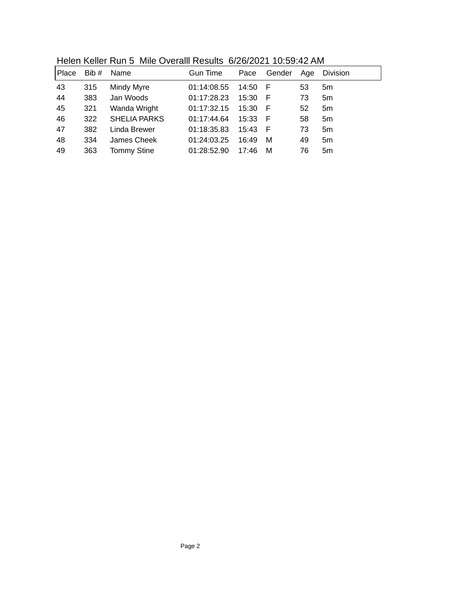| Place | Bib# | Name                | <b>Gun Time</b> | Pace      | Gender | Age | <b>Division</b> |
|-------|------|---------------------|-----------------|-----------|--------|-----|-----------------|
| 43    | 315  | Mindy Myre          | 01:14:08.55     | 14:50 F   |        | 53  | 5m              |
| 44    | 383  | Jan Woods           | 01:17:28.23     | 15:30     | - F    | 73  | 5m              |
| 45    | 321  | Wanda Wright        | 01:17:32.15     | 15:30     | - F    | 52  | 5m              |
| 46    | 322  | <b>SHELIA PARKS</b> | 01:17:44.64     | $15:33$ F |        | 58  | 5 <sub>m</sub>  |
| 47    | 382  | Linda Brewer        | 01:18:35.83     | 15:43 F   |        | 73  | 5m              |
| 48    | 334  | James Cheek         | 01:24:03.25     | 16:49     | M      | 49  | 5 <sub>m</sub>  |
| 49    | 363  | <b>Tommy Stine</b>  | 01:28:52.90     | 17:46     | M      | 76  | 5 <sub>m</sub>  |
|       |      |                     |                 |           |        |     |                 |

Helen Keller Run 5 Mile Overalll Results 6/26/2021 10:59:42 AM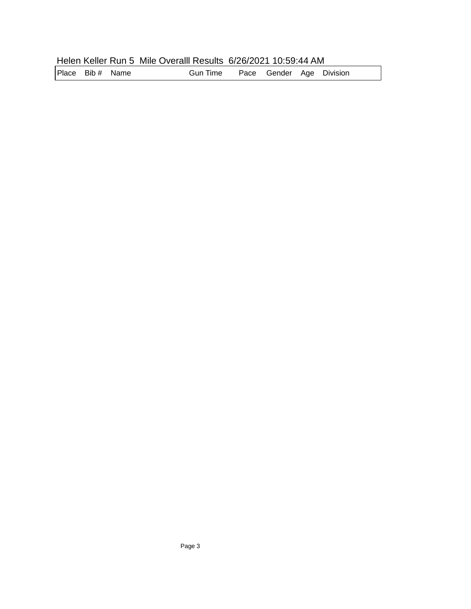|  |  | Helen Keller Run 5 Mile Overalll Results 6/26/2021 10:59:44 AM |
|--|--|----------------------------------------------------------------|
|--|--|----------------------------------------------------------------|

| Place Bib # Name | Gun Time  Pace Gender Age Division |
|------------------|------------------------------------|
|------------------|------------------------------------|